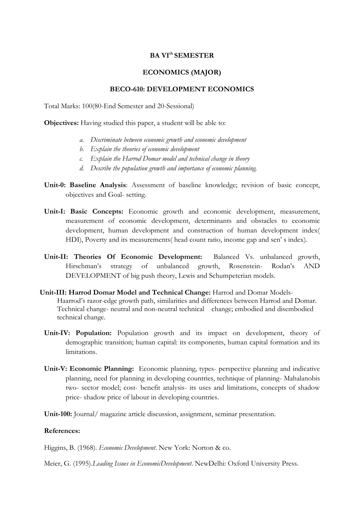## **BA VIth SEMESTER**

## **ECONOMICS (MAJOR)**

## **BECO-610: DEVELOPMENT ECONOMICS**

Total Marks: 100(80-End Semester and 20-Sessional)

**Objectives:** Having studied this paper, a student will be able to:

- *a. Discriminate between economic growth and economic development*
- *b. Explain the theories of economic development*
- *c. Explain the Harrod Domar model and technical change in theory*
- *d. Describe the population growth and importance of economic planning.*
- **Unit-0: Baseline Analysis**: Assessment of baseline knowledge; revision of basic concept, objectives and Goal- setting.
- **Unit-I: Basic Concepts:** Economic growth and economic development, measurement, measurement of economic development, determinants and obstacles to economic development, human development and construction of human development index( HDI), Poverty and its measurements( head count ratio, income gap and sen' s index).
- **Unit-II: Theories Of Economic Development:** Balanced Vs. unbalanced growth, Hirschman's strategy of unbalanced growth, Rosenstein- Rodan's AND DEVELOPMENT of big push theory, Lewis and Schumpeterian models.
- **Unit-III: Harrod Domar Model and Technical Change:** Harrod and Domar Models-Haarrod's razor-edge growth path, similarities and differences between Harrod and Domar. Technical change- neutral and non-neutral technical change; embodied and disembodied technical change.
	- Unit-IV: Population: Population growth and its impact on development, theory of demographic transition; human capital: its components, human capital formation and its limitations.
	- **Unit-V: Economic Planning:** Economic planning, types- perspective planning and indicative planning, need for planning in developing countries, technique of planning- Mahalanobis two- sector model; cost- benefit analysis- its uses and limitations, concepts of shadow price- shadow price of labour in developing countries.
	- **Unit-100:** Journal/ magazine article discussion, assignment, seminar presentation.

## **References:**

Higgins, B. (1968). *Economic Development*. New York: Norton & co.

Meier, G. (1995).*Leading Issues in EconomicDevelopment*. NewDelhi: Oxford University Press.